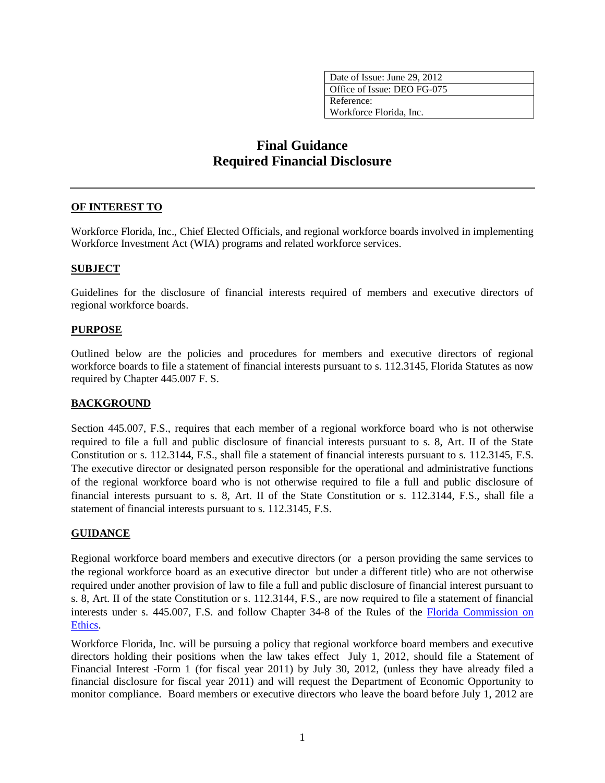| Date of Issue: June 29, 2012 |
|------------------------------|
| Office of Issue: DEO FG-075  |
| Reference:                   |
| Workforce Florida, Inc.      |
|                              |

# **Final Guidance Required Financial Disclosure**

### **OF INTEREST TO**

Workforce Florida, Inc., Chief Elected Officials, and regional workforce boards involved in implementing Workforce Investment Act (WIA) programs and related workforce services.

### **SUBJECT**

Guidelines for the disclosure of financial interests required of members and executive directors of regional workforce boards.

### **PURPOSE**

Outlined below are the policies and procedures for members and executive directors of regional workforce boards to file a statement of financial interests pursuant to s. 112.3145, Florida Statutes as now required by Chapter 445.007 F. S.

### **BACKGROUND**

Section 445.007, F.S., requires that each member of a regional workforce board who is not otherwise required to file a full and public disclosure of financial interests pursuant to s. 8, Art. II of the State Constitution or s. 112.3144, F.S., shall file a statement of financial interests pursuant to s. 112.3145, F.S. The executive director or designated person responsible for the operational and administrative functions of the regional workforce board who is not otherwise required to file a full and public disclosure of financial interests pursuant to s. 8, Art. II of the State Constitution or s. 112.3144, F.S., shall file a statement of financial interests pursuant to s. 112.3145, F.S.

## **GUIDANCE**

Regional workforce board members and executive directors (or a person providing the same services to the regional workforce board as an executive director but under a different title) who are not otherwise required under another provision of law to file a full and public disclosure of financial interest pursuant to s. 8, Art. II of the state Constitution or s. 112.3144, F.S., are now required to file a statement of financial interests under s. 445.007, F.S. and follow Chapter 34-8 of the Rules of the [Florida Commission on](http://www.ethics.state.fl.us/)  [Ethics.](http://www.ethics.state.fl.us/)

Workforce Florida, Inc. will be pursuing a policy that regional workforce board members and executive directors holding their positions when the law takes effect July 1, 2012, should file a Statement of Financial Interest -Form 1 (for fiscal year 2011) by July 30, 2012, (unless they have already filed a financial disclosure for fiscal year 2011) and will request the Department of Economic Opportunity to monitor compliance. Board members or executive directors who leave the board before July 1, 2012 are